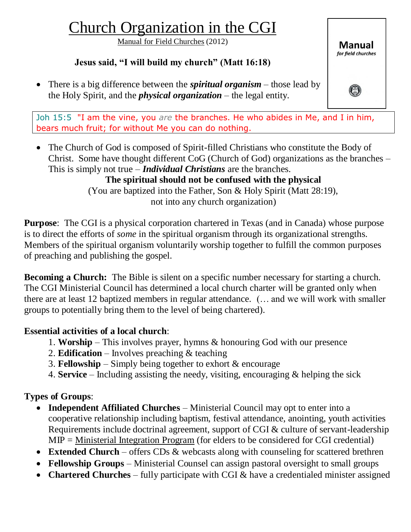# Church Organization in the CGI

Manual for Field Churches (2012)

## **Jesus said, "I will build my church" (Matt 16:18)**

 There is a big difference between the *spiritual organism* – those lead by the Holy Spirit, and the *physical organization* – the legal entity.

Joh 15:5 "I am the vine, you *are* the branches. He who abides in Me, and I in him, bears much fruit; for without Me you can do nothing.

• The Church of God is composed of Spirit-filled Christians who constitute the Body of Christ. Some have thought different CoG (Church of God) organizations as the branches – This is simply not true – *Individual Christians* are the branches.

**The spiritual should not be confused with the physical** (You are baptized into the Father, Son & Holy Spirit (Matt 28:19), not into any church organization)

**Purpose**: The CGI is a physical corporation chartered in Texas (and in Canada) whose purpose is to direct the efforts of *some* in the spiritual organism through its organizational strengths. Members of the spiritual organism voluntarily worship together to fulfill the common purposes of preaching and publishing the gospel.

**Becoming a Church:** The Bible is silent on a specific number necessary for starting a church. The CGI Ministerial Council has determined a local church charter will be granted only when there are at least 12 baptized members in regular attendance. (… and we will work with smaller groups to potentially bring them to the level of being chartered).

#### **Essential activities of a local church**:

- 1. **Worship** This involves prayer, hymns & honouring God with our presence
- 2. **Edification** Involves preaching & teaching
- 3. **Fellowship** Simply being together to exhort & encourage
- 4. **Service** Including assisting the needy, visiting, encouraging & helping the sick

#### **Types of Groups**:

- **Independent Affiliated Churches** Ministerial Council may opt to enter into a cooperative relationship including baptism, festival attendance, anointing, youth activities Requirements include doctrinal agreement, support of CGI & culture of servant-leadership MIP = Ministerial Integration Program (for elders to be considered for CGI credential)
- **Extended Church** offers CDs & webcasts along with counseling for scattered brethren
- **Fellowship Groups** Ministerial Counsel can assign pastoral oversight to small groups
- **Chartered Churches** fully participate with CGI & have a credentialed minister assigned